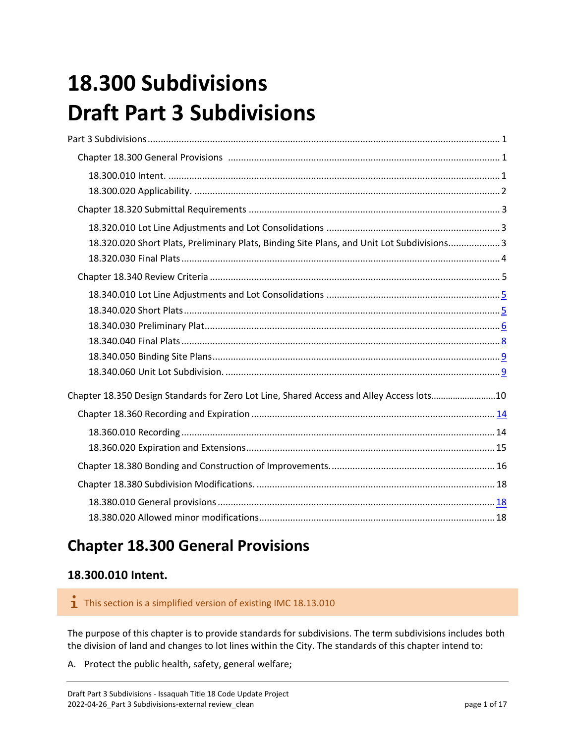# <span id="page-0-0"></span>**18.300 Subdivisions Draft Part 3 Subdivisions**

| 18.320.020 Short Plats, Preliminary Plats, Binding Site Plans, and Unit Lot Subdivisions 3 |  |
|--------------------------------------------------------------------------------------------|--|
|                                                                                            |  |
|                                                                                            |  |
|                                                                                            |  |
|                                                                                            |  |
|                                                                                            |  |
|                                                                                            |  |
|                                                                                            |  |
|                                                                                            |  |
| Chapter 18.350 Design Standards for Zero Lot Line, Shared Access and Alley Access lots10   |  |
|                                                                                            |  |
|                                                                                            |  |
|                                                                                            |  |
|                                                                                            |  |
|                                                                                            |  |
|                                                                                            |  |
|                                                                                            |  |

# <span id="page-0-1"></span>**Chapter 18.300 General Provisions**

### <span id="page-0-2"></span>**18.300.010 Intent.**

 $\mathbf{\dot{1}}$  This section is a simplified version of existing IMC 18.13.010

The purpose of this chapter is to provide standards for subdivisions. The term subdivisions includes both the division of land and changes to lot lines within the City. The standards of this chapter intend to:

A. Protect the public health, safety, general welfare;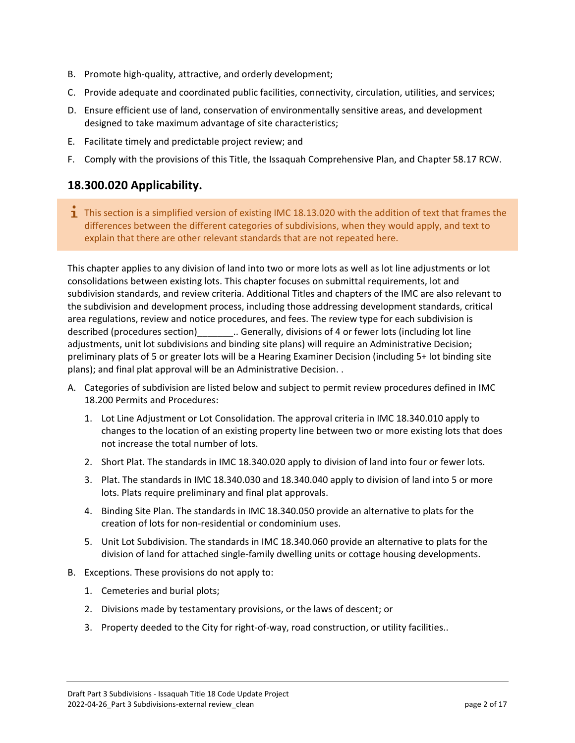- B. Promote high-quality, attractive, and orderly development;
- C. Provide adequate and coordinated public facilities, connectivity, circulation, utilities, and services;
- D. Ensure efficient use of land, conservation of environmentally sensitive areas, and development designed to take maximum advantage of site characteristics;
- E. Facilitate timely and predictable project review; and
- F. Comply with the provisions of this Title, the Issaquah Comprehensive Plan, and Chapter 58.17 RCW.

### <span id="page-1-0"></span>**18.300.020 Applicability.**

**T** This section is a simplified version of existing IMC 18.13.020 with the addition of text that frames the differences between the different categories of subdivisions, when they would apply, and text to explain that there are other relevant standards that are not repeated here.

This chapter applies to any division of land into two or more lots as well as lot line adjustments or lot consolidations between existing lots. This chapter focuses on submittal requirements, lot and subdivision standards, and review criteria. Additional Titles and chapters of the IMC are also relevant to the subdivision and development process, including those addressing development standards, critical area regulations, review and notice procedures, and fees. The review type for each subdivision is described (procedures section)\_\_\_\_\_\_\_\_\_.. Generally, divisions of 4 or fewer lots (including lot line adjustments, unit lot subdivisions and binding site plans) will require an Administrative Decision; preliminary plats of 5 or greater lots will be a Hearing Examiner Decision (including 5+ lot binding site plans); and final plat approval will be an Administrative Decision. .

- A. Categories of subdivision are listed below and subject to permit review procedures defined in IMC 18.200 Permits and Procedures:
	- 1. Lot Line Adjustment or Lot Consolidation. The approval criteria in IMC 18.340.010 apply to changes to the location of an existing property line between two or more existing lots that does not increase the total number of lots.
	- 2. Short Plat. The standards in IMC 18.340.020 apply to division of land into four or fewer lots.
	- 3. Plat. The standards in IMC 18.340.030 and 18.340.040 apply to division of land into 5 or more lots. Plats require preliminary and final plat approvals.
	- 4. Binding Site Plan. The standards in IMC 18.340.050 provide an alternative to plats for the creation of lots for non-residential or condominium uses.
	- 5. Unit Lot Subdivision. The standards in IMC 18.340.060 provide an alternative to plats for the division of land for attached single-family dwelling units or cottage housing developments.
- B. Exceptions. These provisions do not apply to:
	- 1. Cemeteries and burial plots;
	- 2. Divisions made by testamentary provisions, or the laws of descent; or
	- 3. Property deeded to the City for right-of-way, road construction, or utility facilities..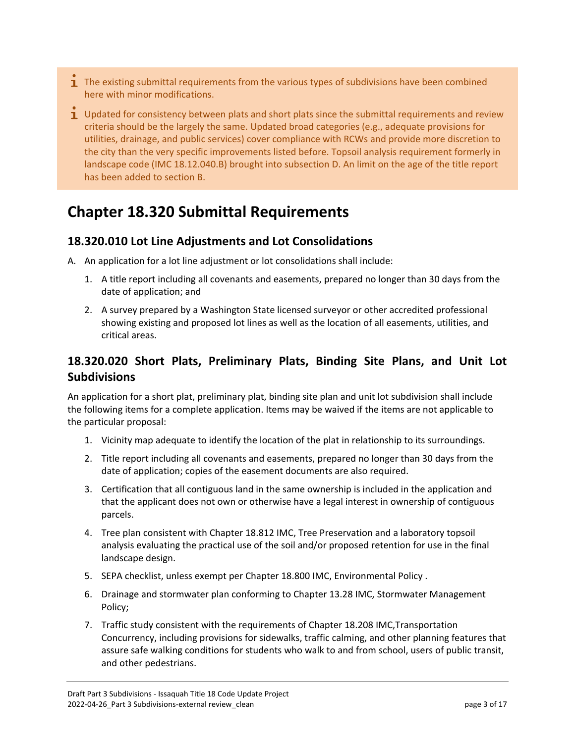- <span id="page-2-0"></span> $\mathbf I$  The existing submittal requirements from the various types of subdivisions have been combined here with minor modifications.
- $\mathbf 1$  Updated for consistency between plats and short plats since the submittal requirements and review criteria should be the largely the same. Updated broad categories (e.g., adequate provisions for utilities, drainage, and public services) cover compliance with RCWs and provide more discretion to the city than the very specific improvements listed before. Topsoil analysis requirement formerly in landscape code (IMC 18.12.040.B) brought into subsection D. An limit on the age of the title report has been added to section B.

# **Chapter 18.320 Submittal Requirements**

### <span id="page-2-1"></span>**18.320.010 Lot Line Adjustments and Lot Consolidations**

- A. An application for a lot line adjustment or lot consolidations shall include:
	- 1. A title report including all covenants and easements, prepared no longer than 30 days from the date of application; and
	- 2. A survey prepared by a Washington State licensed surveyor or other accredited professional showing existing and proposed lot lines as well as the location of all easements, utilities, and critical areas.

### <span id="page-2-2"></span>**18.320.020 Short Plats, Preliminary Plats, Binding Site Plans, and Unit Lot Subdivisions**

An application for a short plat, preliminary plat, binding site plan and unit lot subdivision shall include the following items for a complete application. Items may be waived if the items are not applicable to the particular proposal:

- 1. Vicinity map adequate to identify the location of the plat in relationship to its surroundings.
- 2. Title report including all covenants and easements, prepared no longer than 30 days from the date of application; copies of the easement documents are also required.
- 3. Certification that all contiguous land in the same ownership is included in the application and that the applicant does not own or otherwise have a legal interest in ownership of contiguous parcels.
- 4. Tree plan consistent with Chapter 18.812 IMC, Tree Preservation and a laboratory topsoil analysis evaluating the practical use of the soil and/or proposed retention for use in the final landscape design.
- 5. SEPA checklist, unless exempt per Chapter 18.800 IMC, Environmental Policy .
- 6. Drainage and stormwater plan conforming to Chapter 13.28 IMC, Stormwater Management Policy;
- 7. Traffic study consistent with the requirements of Chapter 18.208 IMC,Transportation Concurrency, including provisions for sidewalks, traffic calming, and other planning features that assure safe walking conditions for students who walk to and from school, users of public transit, and other pedestrians.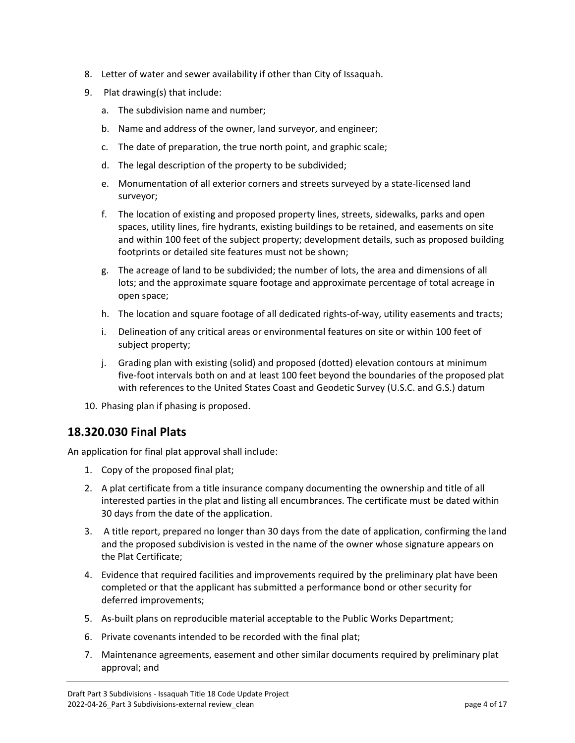- 8. Letter of water and sewer availability if other than City of Issaquah.
- 9. Plat drawing(s) that include:
	- a. The subdivision name and number;
	- b. Name and address of the owner, land surveyor, and engineer;
	- c. The date of preparation, the true north point, and graphic scale;
	- d. The legal description of the property to be subdivided;
	- e. Monumentation of all exterior corners and streets surveyed by a state-licensed land surveyor;
	- f. The location of existing and proposed property lines, streets, sidewalks, parks and open spaces, utility lines, fire hydrants, existing buildings to be retained, and easements on site and within 100 feet of the subject property; development details, such as proposed building footprints or detailed site features must not be shown;
	- g. The acreage of land to be subdivided; the number of lots, the area and dimensions of all lots; and the approximate square footage and approximate percentage of total acreage in open space;
	- h. The location and square footage of all dedicated rights-of-way, utility easements and tracts;
	- i. Delineation of any critical areas or environmental features on site or within 100 feet of subject property;
	- j. Grading plan with existing (solid) and proposed (dotted) elevation contours at minimum five-foot intervals both on and at least 100 feet beyond the boundaries of the proposed plat with references to the United States Coast and Geodetic Survey (U.S.C. and G.S.) datum
- 10. Phasing plan if phasing is proposed.

### <span id="page-3-0"></span>**18.320.030 Final Plats**

An application for final plat approval shall include:

- 1. Copy of the proposed final plat;
- 2. A plat certificate from a title insurance company documenting the ownership and title of all interested parties in the plat and listing all encumbrances. The certificate must be dated within 30 days from the date of the application.
- 3. A title report, prepared no longer than 30 days from the date of application, confirming the land and the proposed subdivision is vested in the name of the owner whose signature appears on the Plat Certificate;
- 4. Evidence that required facilities and improvements required by the preliminary plat have been completed or that the applicant has submitted a performance bond or other security for deferred improvements;
- 5. As-built plans on reproducible material acceptable to the Public Works Department;
- 6. Private covenants intended to be recorded with the final plat;
- 7. Maintenance agreements, easement and other similar documents required by preliminary plat approval; and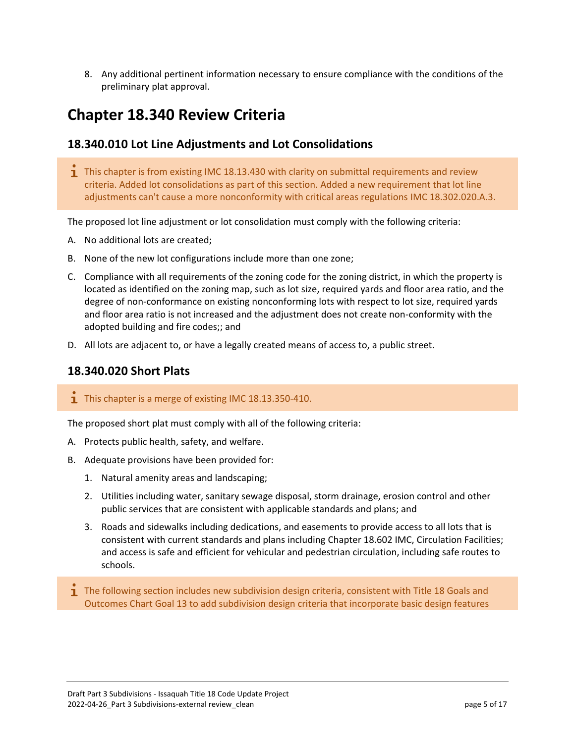8. Any additional pertinent information necessary to ensure compliance with the conditions of the preliminary plat approval.

# <span id="page-4-0"></span>**Chapter 18.340 Review Criteria**

### <span id="page-4-1"></span>**18.340.010 Lot Line Adjustments and Lot Consolidations**

 $\mathbf{I}$  This chapter is from existing IMC 18.13.430 with clarity on submittal requirements and review criteria. Added lot consolidations as part of this section. Added a new requirement that lot line adjustments can't cause a more nonconformity with critical areas regulations IMC 18.302.020.A.3.

The proposed lot line adjustment or lot consolidation must comply with the following criteria:

- A. No additional lots are created;
- B. None of the new lot configurations include more than one zone;
- C. Compliance with all requirements of the zoning code for the zoning district, in which the property is located as identified on the zoning map, such as lot size, required yards and floor area ratio, and the degree of non-conformance on existing nonconforming lots with respect to lot size, required yards and floor area ratio is not increased and the adjustment does not create non-conformity with the adopted building and fire codes;; and
- D. All lots are adjacent to, or have a legally created means of access to, a public street.

### <span id="page-4-2"></span>**18.340.020 Short Plats**

#### **T** This chapter is a merge of existing IMC  $18.13.350 - 410$ .

The proposed short plat must comply with all of the following criteria:

- A. Protects public health, safety, and welfare.
- B. Adequate provisions have been provided for:
	- 1. Natural amenity areas and landscaping;
	- 2. Utilities including water, sanitary sewage disposal, storm drainage, erosion control and other public services that are consistent with applicable standards and plans; and
	- 3. Roads and sidewalks including dedications, and easements to provide access to all lots that is consistent with current standards and plans including Chapter 18.602 IMC, Circulation Facilities; and access is safe and efficient for vehicular and pedestrian circulation, including safe routes to schools.
- **T** The following section includes new subdivision design criteria, consistent with Title 18 Goals and Outcomes Chart Goal 13 to add subdivision design criteria that incorporate basic design features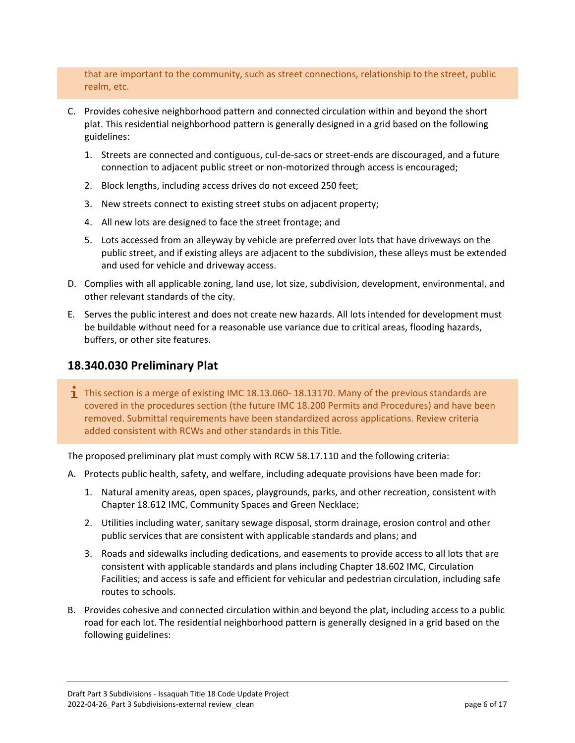that are important to the community, such as street connections, relationship to the street, public realm, etc.

- C. Provides cohesive neighborhood pattern and connected circulation within and beyond the short plat. This residential neighborhood pattern is generally designed in a grid based on the following guidelines:
	- 1. Streets are connected and contiguous, cul-de-sacs or street-ends are discouraged, and a future connection to adjacent public street or non-motorized through access is encouraged;
	- 2. Block lengths, including access drives do not exceed 250 feet;
	- 3. New streets connect to existing street stubs on adjacent property;
	- 4. All new lots are designed to face the street frontage; and
	- 5. Lots accessed from an alleyway by vehicle are preferred over lots that have driveways on the public street, and if existing alleys are adjacent to the subdivision, these alleys must be extended and used for vehicle and driveway access.
- D. Complies with all applicable zoning, land use, lot size, subdivision, development, environmental, and other relevant standards of the city.
- E. Serves the public interest and does not create new hazards. All lots intended for development must be buildable without need for a reasonable use variance due to critical areas, flooding hazards, buffers, or other site features.

### <span id="page-5-0"></span>**18.340.030 Preliminary Plat**

**T** This section is a merge of existing IMC 18.13.060-18.13170. Many of the previous standards are covered in the procedures section (the future IMC 18.200 Permits and Procedures) and have been removed. Submittal requirements have been standardized across applications. Review criteria added consistent with RCWs and other standards in this Title.

The proposed preliminary plat must comply with RCW 58.17.110 and the following criteria:

- A. Protects public health, safety, and welfare, including adequate provisions have been made for:
	- 1. Natural amenity areas, open spaces, playgrounds, parks, and other recreation, consistent with Chapter 18.612 IMC, Community Spaces and Green Necklace;
	- 2. Utilities including water, sanitary sewage disposal, storm drainage, erosion control and other public services that are consistent with applicable standards and plans; and
	- 3. Roads and sidewalks including dedications, and easements to provide access to all lots that are consistent with applicable standards and plans including Chapter 18.602 IMC, Circulation Facilities; and access is safe and efficient for vehicular and pedestrian circulation, including safe routes to schools.
- B. Provides cohesive and connected circulation within and beyond the plat, including access to a public road for each lot. The residential neighborhood pattern is generally designed in a grid based on the following guidelines: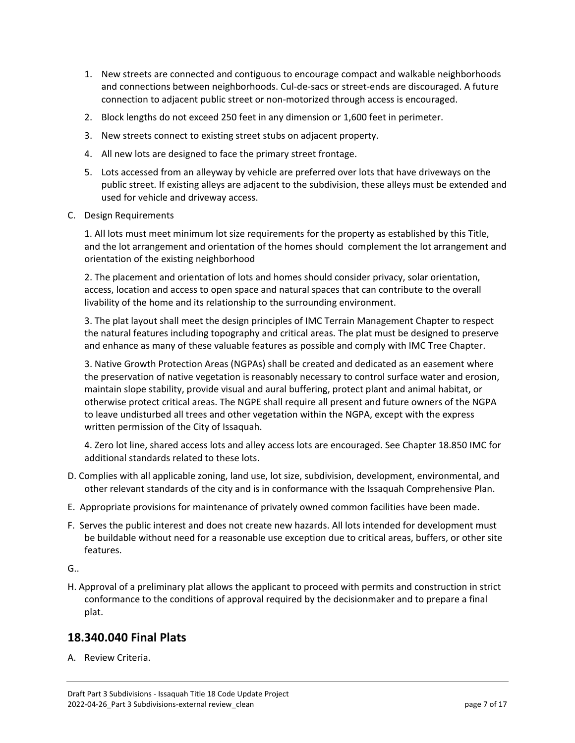- 1. New streets are connected and contiguous to encourage compact and walkable neighborhoods and connections between neighborhoods. Cul-de-sacs or street-ends are discouraged. A future connection to adjacent public street or non-motorized through access is encouraged.
- 2. Block lengths do not exceed 250 feet in any dimension or 1,600 feet in perimeter.
- 3. New streets connect to existing street stubs on adjacent property.
- 4. All new lots are designed to face the primary street frontage.
- 5. Lots accessed from an alleyway by vehicle are preferred over lots that have driveways on the public street. If existing alleys are adjacent to the subdivision, these alleys must be extended and used for vehicle and driveway access.
- C. Design Requirements

1. All lots must meet minimum lot size requirements for the property as established by this Title, and the lot arrangement and orientation of the homes should complement the lot arrangement and orientation of the existing neighborhood

2. The placement and orientation of lots and homes should consider privacy, solar orientation, access, location and access to open space and natural spaces that can contribute to the overall livability of the home and its relationship to the surrounding environment.

3. The plat layout shall meet the design principles of IMC Terrain Management Chapter to respect the natural features including topography and critical areas. The plat must be designed to preserve and enhance as many of these valuable features as possible and comply with IMC Tree Chapter.

3. Native Growth Protection Areas (NGPAs) shall be created and dedicated as an easement where the preservation of native vegetation is reasonably necessary to control surface water and erosion, maintain slope stability, provide visual and aural buffering, protect plant and animal habitat, or otherwise protect critical areas. The NGPE shall require all present and future owners of the NGPA to leave undisturbed all trees and other vegetation within the NGPA, except with the express written permission of the City of Issaquah.

4. Zero lot line, shared access lots and alley access lots are encouraged. See Chapter 18.850 IMC for additional standards related to these lots.

- D. Complies with all applicable zoning, land use, lot size, subdivision, development, environmental, and other relevant standards of the city and is in conformance with the Issaquah Comprehensive Plan.
- E. Appropriate provisions for maintenance of privately owned common facilities have been made.
- F. Serves the public interest and does not create new hazards. All lots intended for development must be buildable without need for a reasonable use exception due to critical areas, buffers, or other site features.

G..

H. Approval of a preliminary plat allows the applicant to proceed with permits and construction in strict conformance to the conditions of approval required by the decisionmaker and to prepare a final plat.

### <span id="page-6-0"></span>**18.340.040 Final Plats**

A. Review Criteria.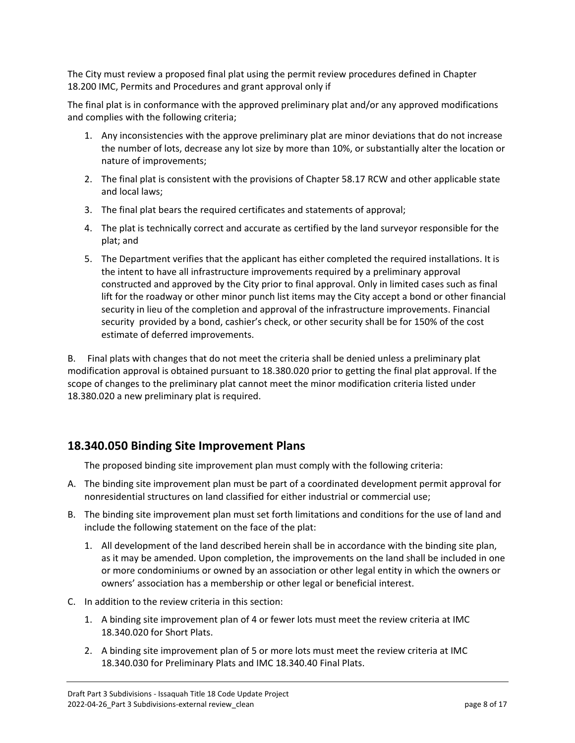The City must review a proposed final plat using the permit review procedures defined in Chapter 18.200 IMC, Permits and Procedures and grant approval only if

The final plat is in conformance with the approved preliminary plat and/or any approved modifications and complies with the following criteria;

- 1. Any inconsistencies with the approve preliminary plat are minor deviations that do not increase the number of lots, decrease any lot size by more than 10%, or substantially alter the location or nature of improvements;
- 2. The final plat is consistent with the provisions of Chapter 58.17 RCW and other applicable state and local laws;
- 3. The final plat bears the required certificates and statements of approval;
- 4. The plat is technically correct and accurate as certified by the land surveyor responsible for the plat; and
- 5. The Department verifies that the applicant has either completed the required installations. It is the intent to have all infrastructure improvements required by a preliminary approval constructed and approved by the City prior to final approval. Only in limited cases such as final lift for the roadway or other minor punch list items may the City accept a bond or other financial security in lieu of the completion and approval of the infrastructure improvements. Financial security provided by a bond, cashier's check, or other security shall be for 150% of the cost estimate of deferred improvements.

B. Final plats with changes that do not meet the criteria shall be denied unless a preliminary plat modification approval is obtained pursuant to 18.380.020 prior to getting the final plat approval. If the scope of changes to the preliminary plat cannot meet the minor modification criteria listed under 18.380.020 a new preliminary plat is required.

### <span id="page-7-0"></span>**18.340.050 Binding Site Improvement Plans**

The proposed binding site improvement plan must comply with the following criteria:

- A. The binding site improvement plan must be part of a coordinated development permit approval for nonresidential structures on land classified for either industrial or commercial use;
- B. The binding site improvement plan must set forth limitations and conditions for the use of land and include the following statement on the face of the plat:
	- 1. All development of the land described herein shall be in accordance with the binding site plan, as it may be amended. Upon completion, the improvements on the land shall be included in one or more condominiums or owned by an association or other legal entity in which the owners or owners' association has a membership or other legal or beneficial interest.
- C. In addition to the review criteria in this section:
	- 1. A binding site improvement plan of 4 or fewer lots must meet the review criteria at IMC 18.340.020 for Short Plats.
	- 2. A binding site improvement plan of 5 or more lots must meet the review criteria at IMC 18.340.030 for Preliminary Plats and IMC 18.340.40 Final Plats.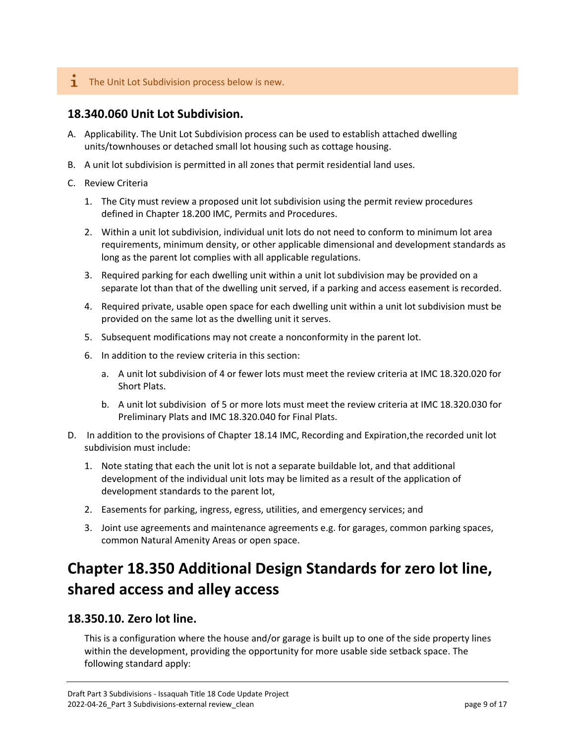#### $\mathbf{I}$  The Unit Lot Subdivision process below is new.

### <span id="page-8-0"></span>**18.340.060 Unit Lot Subdivision.**

- A. Applicability. The Unit Lot Subdivision process can be used to establish attached dwelling units/townhouses or detached small lot housing such as cottage housing.
- B. A unit lot subdivision is permitted in all zones that permit residential land uses.
- C. Review Criteria
	- 1. The City must review a proposed unit lot subdivision using the permit review procedures defined in Chapter 18.200 IMC, Permits and Procedures.
	- 2. Within a unit lot subdivision, individual unit lots do not need to conform to minimum lot area requirements, minimum density, or other applicable dimensional and development standards as long as the parent lot complies with all applicable regulations.
	- 3. Required parking for each dwelling unit within a unit lot subdivision may be provided on a separate lot than that of the dwelling unit served, if a parking and access easement is recorded.
	- 4. Required private, usable open space for each dwelling unit within a unit lot subdivision must be provided on the same lot as the dwelling unit it serves.
	- 5. Subsequent modifications may not create a nonconformity in the parent lot.
	- 6. In addition to the review criteria in this section:
		- a. A unit lot subdivision of 4 or fewer lots must meet the review criteria at IMC 18.320.020 for Short Plats.
		- b. A unit lot subdivision of 5 or more lots must meet the review criteria at IMC 18.320.030 for Preliminary Plats and IMC 18.320.040 for Final Plats.
- D. In addition to the provisions of Chapter 18.14 IMC, Recording and Expiration,the recorded unit lot subdivision must include:
	- 1. Note stating that each the unit lot is not a separate buildable lot, and that additional development of the individual unit lots may be limited as a result of the application of development standards to the parent lot,
	- 2. Easements for parking, ingress, egress, utilities, and emergency services; and
	- 3. Joint use agreements and maintenance agreements e.g. for garages, common parking spaces, common Natural Amenity Areas or open space.

# **Chapter 18.350 Additional Design Standards for zero lot line, shared access and alley access**

### **18.350.10. Zero lot line.**

This is a configuration where the house and/or garage is built up to one of the side property lines within the development, providing the opportunity for more usable side setback space. The following standard apply: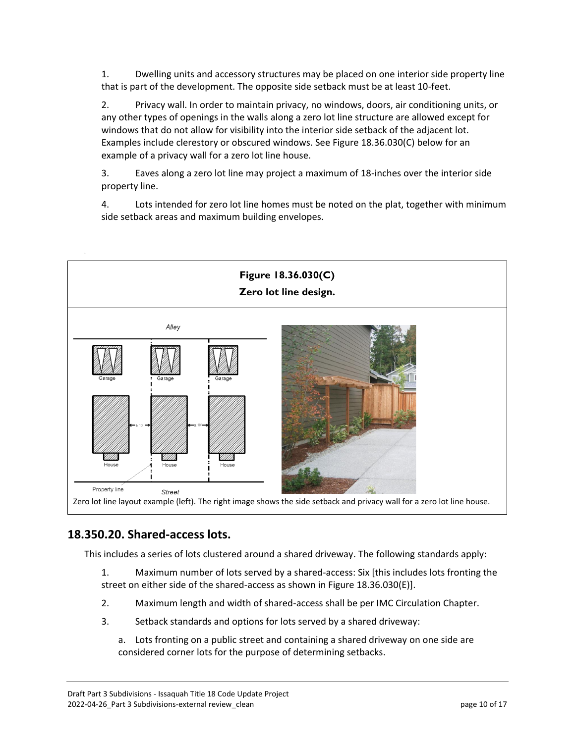1. Dwelling units and accessory structures may be placed on one interior side property line that is part of the development. The opposite side setback must be at least 10-feet.

2. Privacy wall. In order to maintain privacy, no windows, doors, air conditioning units, or any other types of openings in the walls along a zero lot line structure are allowed except for windows that do not allow for visibility into the interior side setback of the adjacent lot. Examples include clerestory or obscured windows. See Figure 18.36.030(C) below for an example of a privacy wall for a zero lot line house.

3. Eaves along a zero lot line may project a maximum of 18-inches over the interior side property line.

4. Lots intended for zero lot line homes must be noted on the plat, together with minimum side setback areas and maximum building envelopes.



### **18.350.20. Shared-access lots.**

This includes a series of lots clustered around a shared driveway. The following standards apply:

1. Maximum number of lots served by a shared-access: Six [this includes lots fronting the street on either side of the shared-access as shown in Figure 18.36.030(E)].

- 2. Maximum length and width of shared-access shall be per IMC Circulation Chapter.
- 3. Setback standards and options for lots served by a shared driveway:
	- a. Lots fronting on a public street and containing a shared driveway on one side are considered corner lots for the purpose of determining setbacks.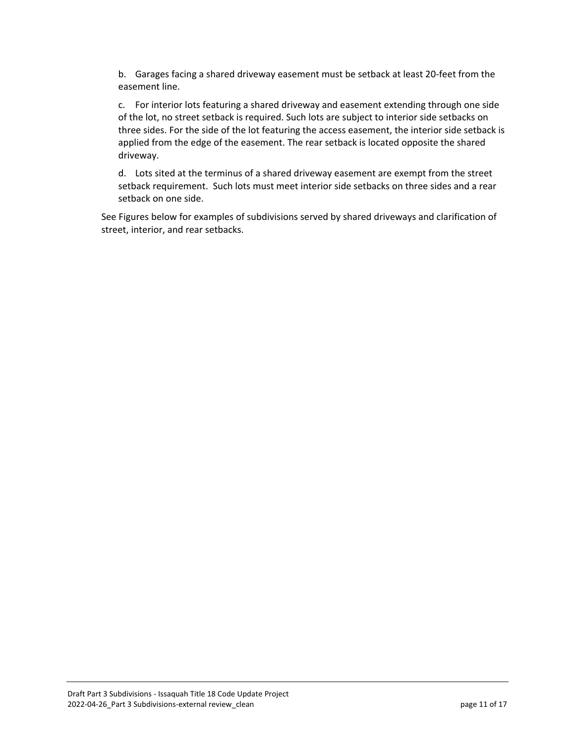b. Garages facing a shared driveway easement must be setback at least 20-feet from the easement line.

c. For interior lots featuring a shared driveway and easement extending through one side of the lot, no street setback is required. Such lots are subject to interior side setbacks on three sides. For the side of the lot featuring the access easement, the interior side setback is applied from the edge of the easement. The rear setback is located opposite the shared driveway.

d. Lots sited at the terminus of a shared driveway easement are exempt from the street setback requirement. Such lots must meet interior side setbacks on three sides and a rear setback on one side.

See Figures below for examples of subdivisions served by shared driveways and clarification of street, interior, and rear setbacks.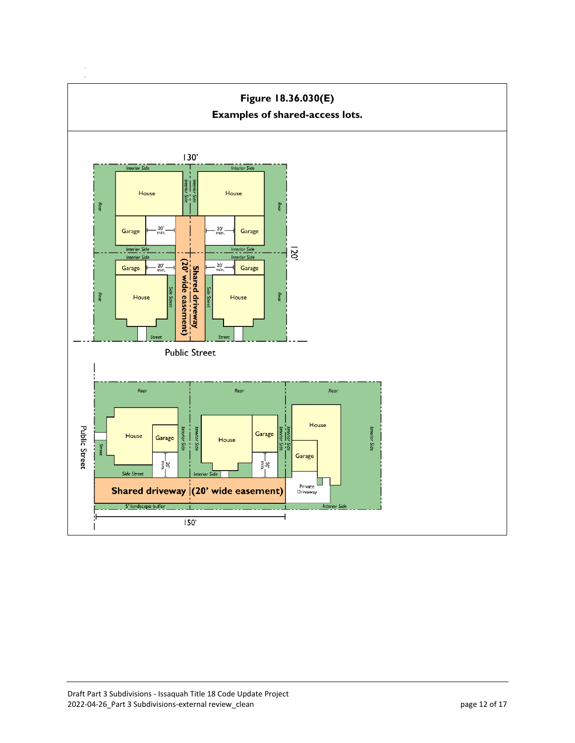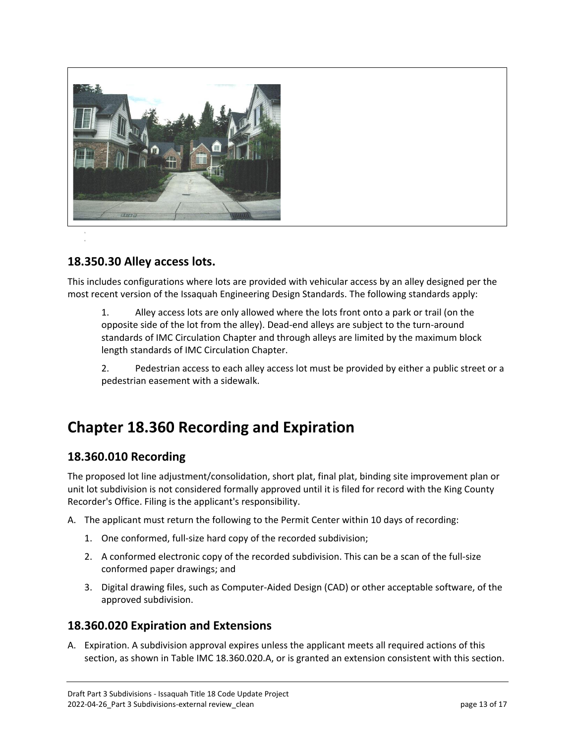

### **18.350.30 Alley access lots.**

This includes configurations where lots are provided with vehicular access by an alley designed per the most recent version of the Issaquah Engineering Design Standards. The following standards apply:

1. Alley access lots are only allowed where the lots front onto a park or trail (on the opposite side of the lot from the alley). Dead-end alleys are subject to the turn-around standards of IMC Circulation Chapter and through alleys are limited by the maximum block length standards of IMC Circulation Chapter.

2. Pedestrian access to each alley access lot must be provided by either a public street or a pedestrian easement with a sidewalk.

### <span id="page-12-0"></span>**Chapter 18.360 Recording and Expiration**

### <span id="page-12-1"></span>**18.360.010 Recording**

The proposed lot line adjustment/consolidation, short plat, final plat, binding site improvement plan or unit lot subdivision is not considered formally approved until it is filed for record with the King County Recorder's Office. Filing is the applicant's responsibility.

- A. The applicant must return the following to the Permit Center within 10 days of recording:
	- 1. One conformed, full-size hard copy of the recorded subdivision;
	- 2. A conformed electronic copy of the recorded subdivision. This can be a scan of the full-size conformed paper drawings; and
	- 3. Digital drawing files, such as Computer-Aided Design (CAD) or other acceptable software, of the approved subdivision.

### <span id="page-12-2"></span>**18.360.020 Expiration and Extensions**

A. Expiration. A subdivision approval expires unless the applicant meets all required actions of this section, as shown in Table IMC 18.360.020.A, or is granted an extension consistent with this section.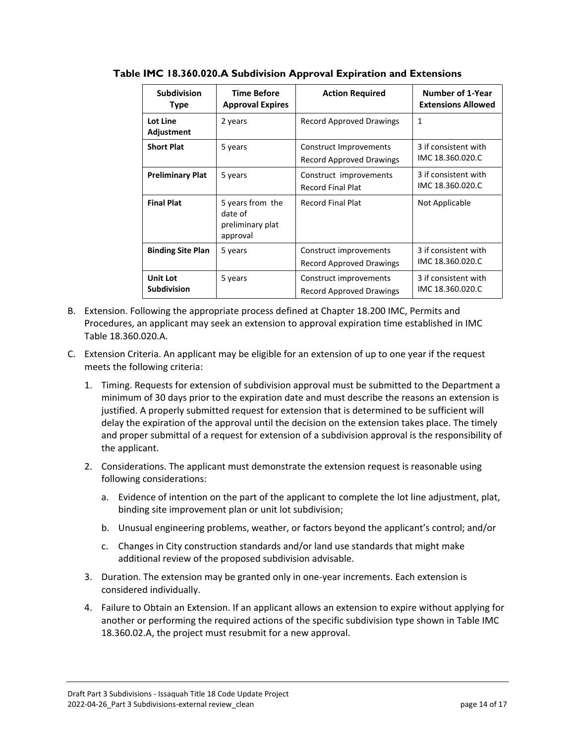| <b>Subdivision</b><br><b>Type</b>     | <b>Time Before</b><br><b>Approval Expires</b>               | <b>Action Required</b>                                    | Number of 1-Year<br><b>Extensions Allowed</b> |
|---------------------------------------|-------------------------------------------------------------|-----------------------------------------------------------|-----------------------------------------------|
| Lot Line<br>Adjustment                | 2 years                                                     | Record Approved Drawings                                  | $\mathbf{1}$                                  |
| <b>Short Plat</b>                     | 5 years                                                     | Construct Improvements<br><b>Record Approved Drawings</b> | 3 if consistent with<br>IMC 18.360.020.C      |
| <b>Preliminary Plat</b>               | 5 years                                                     | Construct improvements<br><b>Record Final Plat</b>        | 3 if consistent with<br>IMC 18.360.020.C      |
| <b>Final Plat</b>                     | 5 years from the<br>date of<br>preliminary plat<br>approval | <b>Record Final Plat</b>                                  | Not Applicable                                |
| <b>Binding Site Plan</b>              | 5 years                                                     | Construct improvements<br><b>Record Approved Drawings</b> | 3 if consistent with<br>IMC 18.360.020.C      |
| <b>Unit Lot</b><br><b>Subdivision</b> | 5 years                                                     | Construct improvements<br><b>Record Approved Drawings</b> | 3 if consistent with<br>IMC 18.360.020.C      |

**Table IMC 18.360.020.A Subdivision Approval Expiration and Extensions**

- B. Extension. Following the appropriate process defined at Chapter 18.200 IMC, Permits and Procedures, an applicant may seek an extension to approval expiration time established in IMC Table 18.360.020.A.
- C. Extension Criteria. An applicant may be eligible for an extension of up to one year if the request meets the following criteria:
	- 1. Timing. Requests for extension of subdivision approval must be submitted to the Department a minimum of 30 days prior to the expiration date and must describe the reasons an extension is justified. A properly submitted request for extension that is determined to be sufficient will delay the expiration of the approval until the decision on the extension takes place. The timely and proper submittal of a request for extension of a subdivision approval is the responsibility of the applicant.
	- 2. Considerations. The applicant must demonstrate the extension request is reasonable using following considerations:
		- a. Evidence of intention on the part of the applicant to complete the lot line adjustment, plat, binding site improvement plan or unit lot subdivision;
		- b. Unusual engineering problems, weather, or factors beyond the applicant's control; and/or
		- c. Changes in City construction standards and/or land use standards that might make additional review of the proposed subdivision advisable.
	- 3. Duration. The extension may be granted only in one-year increments. Each extension is considered individually.
	- 4. Failure to Obtain an Extension. If an applicant allows an extension to expire without applying for another or performing the required actions of the specific subdivision type shown in Table IMC 18.360.02.A, the project must resubmit for a new approval.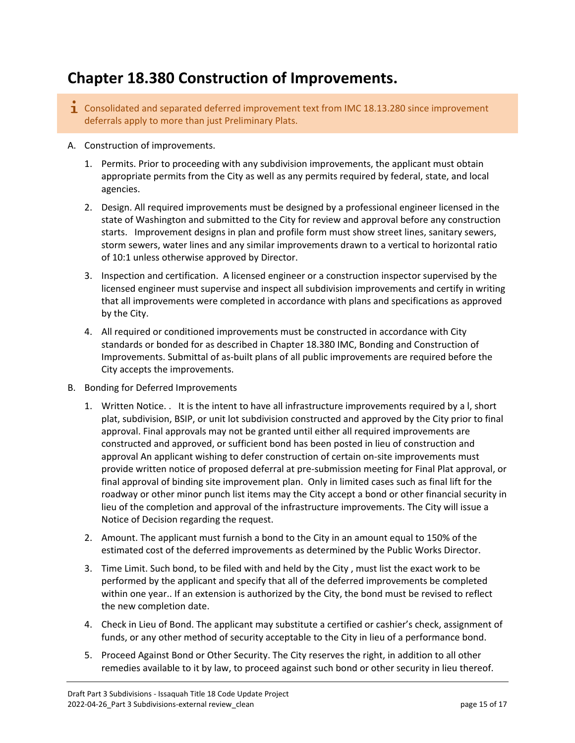# <span id="page-14-0"></span>**Chapter 18.380 Construction of Improvements.**

- $\mathbf{\dot{1}}$  Consolidated and separated deferred improvement text from IMC 18.13.280 since improvement deferrals apply to more than just Preliminary Plats.
- A. Construction of improvements.
	- 1. Permits. Prior to proceeding with any subdivision improvements, the applicant must obtain appropriate permits from the City as well as any permits required by federal, state, and local agencies.
	- 2. Design. All required improvements must be designed by a professional engineer licensed in the state of Washington and submitted to the City for review and approval before any construction starts. Improvement designs in plan and profile form must show street lines, sanitary sewers, storm sewers, water lines and any similar improvements drawn to a vertical to horizontal ratio of 10:1 unless otherwise approved by Director.
	- 3. Inspection and certification. A licensed engineer or a construction inspector supervised by the licensed engineer must supervise and inspect all subdivision improvements and certify in writing that all improvements were completed in accordance with plans and specifications as approved by the City.
	- 4. All required or conditioned improvements must be constructed in accordance with City standards or bonded for as described in Chapter 18.380 IMC, Bonding and Construction of Improvements. Submittal of as-built plans of all public improvements are required before the City accepts the improvements.
- B. Bonding for Deferred Improvements
	- 1. Written Notice. . It is the intent to have all infrastructure improvements required by a l, short plat, subdivision, BSIP, or unit lot subdivision constructed and approved by the City prior to final approval. Final approvals may not be granted until either all required improvements are constructed and approved, or sufficient bond has been posted in lieu of construction and approval An applicant wishing to defer construction of certain on-site improvements must provide written notice of proposed deferral at pre-submission meeting for Final Plat approval, or final approval of binding site improvement plan. Only in limited cases such as final lift for the roadway or other minor punch list items may the City accept a bond or other financial security in lieu of the completion and approval of the infrastructure improvements. The City will issue a Notice of Decision regarding the request.
	- 2. Amount. The applicant must furnish a bond to the City in an amount equal to 150% of the estimated cost of the deferred improvements as determined by the Public Works Director.
	- 3. Time Limit. Such bond, to be filed with and held by the City , must list the exact work to be performed by the applicant and specify that all of the deferred improvements be completed within one year.. If an extension is authorized by the City, the bond must be revised to reflect the new completion date.
	- 4. Check in Lieu of Bond. The applicant may substitute a certified or cashier's check, assignment of funds, or any other method of security acceptable to the City in lieu of a performance bond.
	- 5. Proceed Against Bond or Other Security. The City reserves the right, in addition to all other remedies available to it by law, to proceed against such bond or other security in lieu thereof.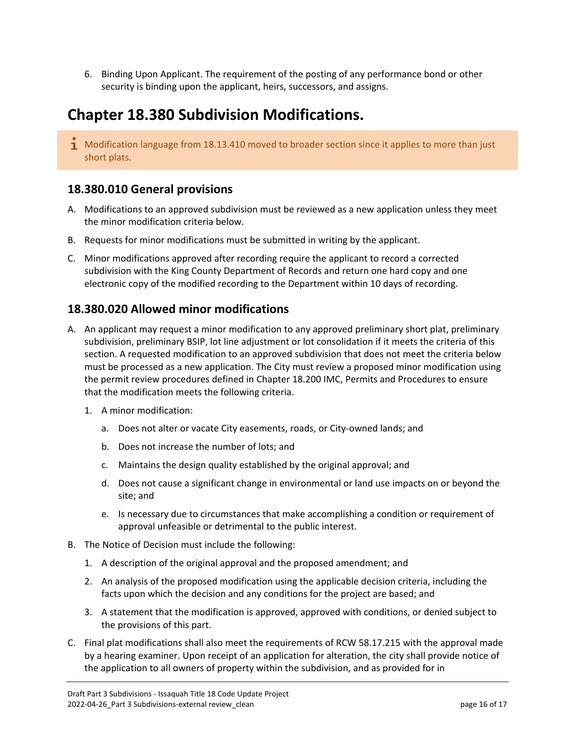6. Binding Upon Applicant. The requirement of the posting of any performance bond or other security is binding upon the applicant, heirs, successors, and assigns.

# <span id="page-15-0"></span>**Chapter 18.380 Subdivision Modifications.**

 $\mathbf{I}$  Modification language from 18.13.410 moved to broader section since it applies to more than just short plats.

### <span id="page-15-1"></span>**18.380.010 General provisions**

- A. Modifications to an approved subdivision must be reviewed as a new application unless they meet the minor modification criteria below.
- B. Requests for minor modifications must be submitted in writing by the applicant.
- C. Minor modifications approved after recording require the applicant to record a corrected subdivision with the King County Department of Records and return one hard copy and one electronic copy of the modified recording to the Department within 10 days of recording.

### <span id="page-15-2"></span>**18.380.020 Allowed minor modifications**

- A. An applicant may request a minor modification to any approved preliminary short plat, preliminary subdivision, preliminary BSIP, lot line adjustment or lot consolidation if it meets the criteria of this section. A requested modification to an approved subdivision that does not meet the criteria below must be processed as a new application. The City must review a proposed minor modification using the permit review procedures defined in Chapter 18.200 IMC, Permits and Procedures to ensure that the modification meets the following criteria.
	- 1. A minor modification:
		- a. Does not alter or vacate City easements, roads, or City-owned lands; and
		- b. Does not increase the number of lots; and
		- c. Maintains the design quality established by the original approval; and
		- d. Does not cause a significant change in environmental or land use impacts on or beyond the site; and
		- e. Is necessary due to circumstances that make accomplishing a condition or requirement of approval unfeasible or detrimental to the public interest.
- B. The Notice of Decision must include the following:
	- 1. A description of the original approval and the proposed amendment; and
	- 2. An analysis of the proposed modification using the applicable decision criteria, including the facts upon which the decision and any conditions for the project are based; and
	- 3. A statement that the modification is approved, approved with conditions, or denied subject to the provisions of this part.
- C. Final plat modifications shall also meet the requirements of RCW 58.17.215 with the approval made by a hearing examiner. Upon receipt of an application for alteration, the city shall provide notice of the application to all owners of property within the subdivision, and as provided for in